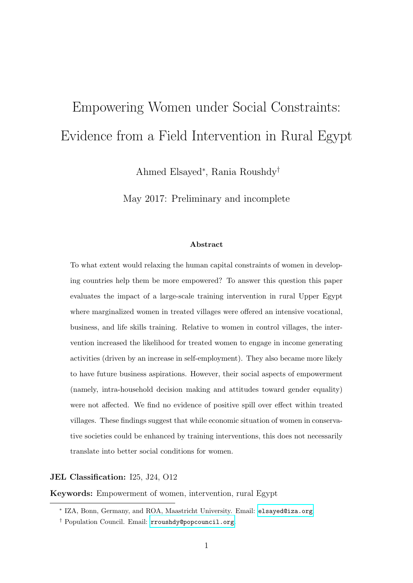# Empowering Women under Social Constraints: Evidence from a Field Intervention in Rural Egypt

Ahmed Elsayed<sup>∗</sup> , Rania Roushdy†

May 2017: Preliminary and incomplete

#### Abstract

To what extent would relaxing the human capital constraints of women in developing countries help them be more empowered? To answer this question this paper evaluates the impact of a large-scale training intervention in rural Upper Egypt where marginalized women in treated villages were offered an intensive vocational, business, and life skills training. Relative to women in control villages, the intervention increased the likelihood for treated women to engage in income generating activities (driven by an increase in self-employment). They also became more likely to have future business aspirations. However, their social aspects of empowerment (namely, intra-household decision making and attitudes toward gender equality) were not affected. We find no evidence of positive spill over effect within treated villages. These findings suggest that while economic situation of women in conservative societies could be enhanced by training interventions, this does not necessarily translate into better social conditions for women.

JEL Classification: I25, J24, O12

Keywords: Empowerment of women, intervention, rural Egypt

<sup>∗</sup> IZA, Bonn, Germany, and ROA, Maastricht University. Email: [elsayed@iza.org](mailto:elsayed@iza.org).

<sup>†</sup> Population Council. Email: [rroushdy@popcouncil.org](mailto:rroushdy@popcouncil.org).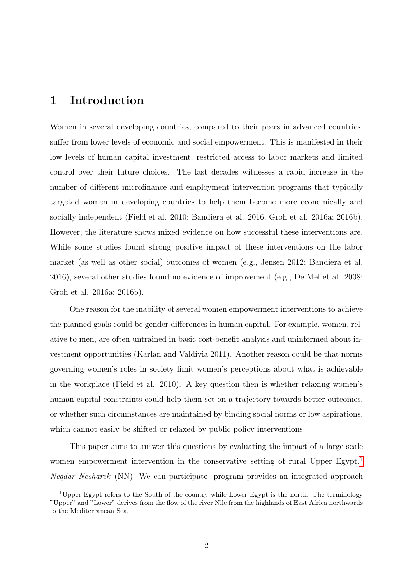## 1 Introduction

Women in several developing countries, compared to their peers in advanced countries, suffer from lower levels of economic and social empowerment. This is manifested in their low levels of human capital investment, restricted access to labor markets and limited control over their future choices. The last decades witnesses a rapid increase in the number of different microfinance and employment intervention programs that typically targeted women in developing countries to help them become more economically and socially independent (Field et al. 2010; Bandiera et al. 2016; Groh et al. 2016a; 2016b). However, the literature shows mixed evidence on how successful these interventions are. While some studies found strong positive impact of these interventions on the labor market (as well as other social) outcomes of women (e.g., Jensen 2012; Bandiera et al. 2016), several other studies found no evidence of improvement (e.g., De Mel et al. 2008; Groh et al. 2016a; 2016b).

One reason for the inability of several women empowerment interventions to achieve the planned goals could be gender differences in human capital. For example, women, relative to men, are often untrained in basic cost-benefit analysis and uninformed about investment opportunities (Karlan and Valdivia 2011). Another reason could be that norms governing women's roles in society limit women's perceptions about what is achievable in the workplace (Field et al. 2010). A key question then is whether relaxing women's human capital constraints could help them set on a trajectory towards better outcomes, or whether such circumstances are maintained by binding social norms or low aspirations, which cannot easily be shifted or relaxed by public policy interventions.

This paper aims to answer this questions by evaluating the impact of a large scale women empowerment intervention in the conservative setting of rural Upper Egypt.<sup>[1](#page-1-0)</sup> Neqdar Nesharek (NN) -We can participate- program provides an integrated approach

<span id="page-1-0"></span><sup>1</sup>Upper Egypt refers to the South of the country while Lower Egypt is the north. The terminology "Upper" and "Lower" derives from the flow of the river Nile from the highlands of East Africa northwards to the Mediterranean Sea.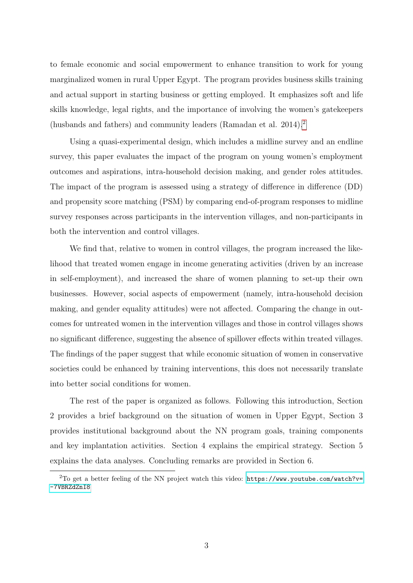to female economic and social empowerment to enhance transition to work for young marginalized women in rural Upper Egypt. The program provides business skills training and actual support in starting business or getting employed. It emphasizes soft and life skills knowledge, legal rights, and the importance of involving the women's gatekeepers (husbands and fathers) and community leaders (Ramadan et al. [2](#page-2-0)014).<sup>2</sup>

Using a quasi-experimental design, which includes a midline survey and an endline survey, this paper evaluates the impact of the program on young women's employment outcomes and aspirations, intra-household decision making, and gender roles attitudes. The impact of the program is assessed using a strategy of difference in difference (DD) and propensity score matching (PSM) by comparing end-of-program responses to midline survey responses across participants in the intervention villages, and non-participants in both the intervention and control villages.

We find that, relative to women in control villages, the program increased the likelihood that treated women engage in income generating activities (driven by an increase in self-employment), and increased the share of women planning to set-up their own businesses. However, social aspects of empowerment (namely, intra-household decision making, and gender equality attitudes) were not affected. Comparing the change in outcomes for untreated women in the intervention villages and those in control villages shows no significant difference, suggesting the absence of spillover effects within treated villages. The findings of the paper suggest that while economic situation of women in conservative societies could be enhanced by training interventions, this does not necessarily translate into better social conditions for women.

The rest of the paper is organized as follows. Following this introduction, Section 2 provides a brief background on the situation of women in Upper Egypt, Section 3 provides institutional background about the NN program goals, training components and key implantation activities. Section 4 explains the empirical strategy. Section 5 explains the data analyses. Concluding remarks are provided in Section 6.

<span id="page-2-0"></span> $2$ To get a better feeling of the NN project watch this video: [https://www.youtube.com/watch?v=](https://www.youtube.com/watch?v=-7VBRZdZnI8) [-7VBRZdZnI8](https://www.youtube.com/watch?v=-7VBRZdZnI8)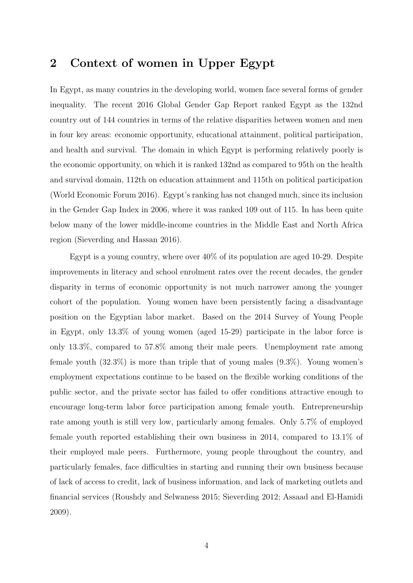## 2 Context of women in Upper Egypt

In Egypt, as many countries in the developing world, women face several forms of gender inequality. The recent 2016 Global Gender Gap Report ranked Egypt as the 132nd country out of 144 countries in terms of the relative disparities between women and men in four key areas: economic opportunity, educational attainment, political participation, and health and survival. The domain in which Egypt is performing relatively poorly is the economic opportunity, on which it is ranked 132nd as compared to 95th on the health and survival domain, 112th on education attainment and 115th on political participation (World Economic Forum 2016). Egypt's ranking has not changed much, since its inclusion in the Gender Gap Index in 2006, where it was ranked 109 out of 115. In has been quite below many of the lower middle-income countries in the Middle East and North Africa region (Sieverding and Hassan 2016).

Egypt is a young country, where over 40% of its population are aged 10-29. Despite improvements in literacy and school enrolment rates over the recent decades, the gender disparity in terms of economic opportunity is not much narrower among the younger cohort of the population. Young women have been persistently facing a disadvantage position on the Egyptian labor market. Based on the 2014 Survey of Young People in Egypt, only 13.3% of young women (aged 15-29) participate in the labor force is only 13.3%, compared to 57.8% among their male peers. Unemployment rate among female youth (32.3%) is more than triple that of young males (9.3%). Young women's employment expectations continue to be based on the flexible working conditions of the public sector, and the private sector has failed to offer conditions attractive enough to encourage long-term labor force participation among female youth. Entrepreneurship rate among youth is still very low, particularly among females. Only 5.7% of employed female youth reported establishing their own business in 2014, compared to 13.1% of their employed male peers. Furthermore, young people throughout the country, and particularly females, face difficulties in starting and running their own business because of lack of access to credit, lack of business information, and lack of marketing outlets and financial services (Roushdy and Selwaness 2015; Sieverding 2012; Assaad and El-Hamidi 2009).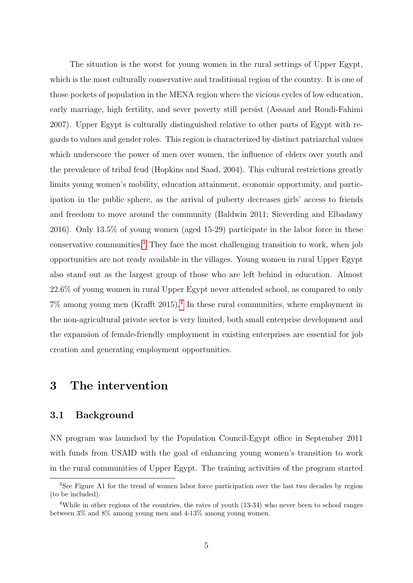The situation is the worst for young women in the rural settings of Upper Egypt, which is the most culturally conservative and traditional region of the country. It is one of those pockets of population in the MENA region where the vicious cycles of low education, early marriage, high fertility, and sever poverty still persist (Assaad and Roudi-Fahimi 2007). Upper Egypt is culturally distinguished relative to other parts of Egypt with regards to values and gender roles. This region is characterized by distinct patriarchal values which underscore the power of men over women, the influence of elders over youth and the prevalence of tribal feud (Hopkins and Saad, 2004). This cultural restrictions greatly limits young women's mobility, education attainment, economic opportunity, and participation in the public sphere, as the arrival of puberty decreases girls' access to friends and freedom to move around the community (Baldwin 2011; Sieverding and Elbadawy 2016). Only 13.5% of young women (aged 15-29) participate in the labor force in these conservative communities.[3](#page-4-0) They face the most challenging transition to work, when job opportunities are not ready available in the villages. Young women in rural Upper Egypt also stand out as the largest group of those who are left behind in education. Almost 22.6% of young women in rural Upper Egypt never attended school, as compared to only 7% among young men (Krafft 2015).[4](#page-4-1) In these rural communities, where employment in the non-agricultural private sector is very limited, both small enterprise development and the expansion of female-friendly employment in existing enterprises are essential for job creation and generating employment opportunities.

## 3 The intervention

#### 3.1 Background

NN program was launched by the Population Council-Egypt office in September 2011 with funds from USAID with the goal of enhancing young women's transition to work in the rural communities of Upper Egypt. The training activities of the program started

<span id="page-4-0"></span><sup>&</sup>lt;sup>3</sup>See Figure A1 for the trend of women labor force participation over the last two decades by region (to be included).

<span id="page-4-1"></span><sup>&</sup>lt;sup>4</sup>While in other regions of the countries, the rates of youth (13-34) who never been to school ranges between 3% and 8% among young men and 4-13% among young women.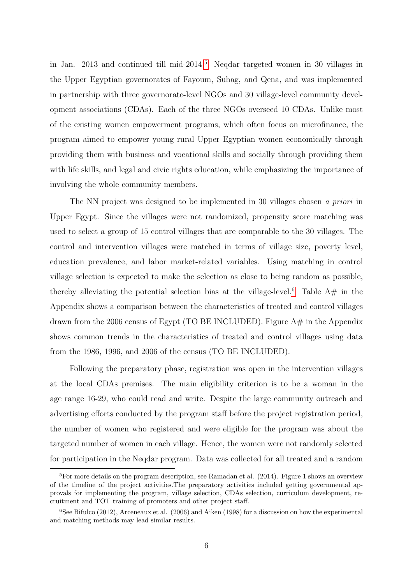in Jan. 2013 and continued till mid-2014.[5](#page-5-0) Neqdar targeted women in 30 villages in the Upper Egyptian governorates of Fayoum, Suhag, and Qena, and was implemented in partnership with three governorate-level NGOs and 30 village-level community development associations (CDAs). Each of the three NGOs overseed 10 CDAs. Unlike most of the existing women empowerment programs, which often focus on microfinance, the program aimed to empower young rural Upper Egyptian women economically through providing them with business and vocational skills and socially through providing them with life skills, and legal and civic rights education, while emphasizing the importance of involving the whole community members.

The NN project was designed to be implemented in 30 villages chosen a priori in Upper Egypt. Since the villages were not randomized, propensity score matching was used to select a group of 15 control villages that are comparable to the 30 villages. The control and intervention villages were matched in terms of village size, poverty level, education prevalence, and labor market-related variables. Using matching in control village selection is expected to make the selection as close to being random as possible, thereby alleviating the potential selection bias at the village-level.<sup>[6](#page-5-1)</sup> Table  $A#$  in the Appendix shows a comparison between the characteristics of treated and control villages drawn from the 2006 census of Egypt (TO BE INCLUDED). Figure  $A#$  in the Appendix shows common trends in the characteristics of treated and control villages using data from the 1986, 1996, and 2006 of the census (TO BE INCLUDED).

Following the preparatory phase, registration was open in the intervention villages at the local CDAs premises. The main eligibility criterion is to be a woman in the age range 16-29, who could read and write. Despite the large community outreach and advertising efforts conducted by the program staff before the project registration period, the number of women who registered and were eligible for the program was about the targeted number of women in each village. Hence, the women were not randomly selected for participation in the Neqdar program. Data was collected for all treated and a random

<span id="page-5-0"></span><sup>&</sup>lt;sup>5</sup>For more details on the program description, see Ramadan et al.  $(2014)$ . Figure 1 shows an overview of the timeline of the project activities.The preparatory activities included getting governmental approvals for implementing the program, village selection, CDAs selection, curriculum development, recruitment and TOT training of promoters and other project staff.

<span id="page-5-1"></span> ${}^{6}$ See Bifulco (2012), Arceneaux et al. (2006) and Aiken (1998) for a discussion on how the experimental and matching methods may lead similar results.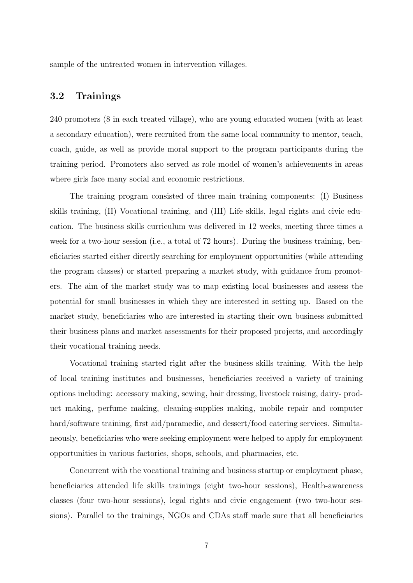sample of the untreated women in intervention villages.

### 3.2 Trainings

240 promoters (8 in each treated village), who are young educated women (with at least a secondary education), were recruited from the same local community to mentor, teach, coach, guide, as well as provide moral support to the program participants during the training period. Promoters also served as role model of women's achievements in areas where girls face many social and economic restrictions.

The training program consisted of three main training components: (I) Business skills training, (II) Vocational training, and (III) Life skills, legal rights and civic education. The business skills curriculum was delivered in 12 weeks, meeting three times a week for a two-hour session (i.e., a total of 72 hours). During the business training, beneficiaries started either directly searching for employment opportunities (while attending the program classes) or started preparing a market study, with guidance from promoters. The aim of the market study was to map existing local businesses and assess the potential for small businesses in which they are interested in setting up. Based on the market study, beneficiaries who are interested in starting their own business submitted their business plans and market assessments for their proposed projects, and accordingly their vocational training needs.

Vocational training started right after the business skills training. With the help of local training institutes and businesses, beneficiaries received a variety of training options including: accessory making, sewing, hair dressing, livestock raising, dairy- product making, perfume making, cleaning-supplies making, mobile repair and computer hard/software training, first aid/paramedic, and dessert/food catering services. Simultaneously, beneficiaries who were seeking employment were helped to apply for employment opportunities in various factories, shops, schools, and pharmacies, etc.

Concurrent with the vocational training and business startup or employment phase, beneficiaries attended life skills trainings (eight two-hour sessions), Health-awareness classes (four two-hour sessions), legal rights and civic engagement (two two-hour sessions). Parallel to the trainings, NGOs and CDAs staff made sure that all beneficiaries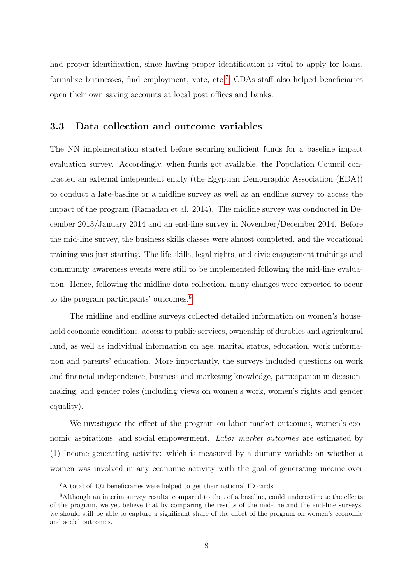had proper identification, since having proper identification is vital to apply for loans, formalize businesses, find employment, vote, etc.<sup>[7](#page-7-0)</sup> CDAs staff also helped beneficiaries open their own saving accounts at local post offices and banks.

#### 3.3 Data collection and outcome variables

The NN implementation started before securing sufficient funds for a baseline impact evaluation survey. Accordingly, when funds got available, the Population Council contracted an external independent entity (the Egyptian Demographic Association (EDA)) to conduct a late-basline or a midline survey as well as an endline survey to access the impact of the program (Ramadan et al. 2014). The midline survey was conducted in December 2013/January 2014 and an end-line survey in November/December 2014. Before the mid-line survey, the business skills classes were almost completed, and the vocational training was just starting. The life skills, legal rights, and civic engagement trainings and community awareness events were still to be implemented following the mid-line evaluation. Hence, following the midline data collection, many changes were expected to occur to the program participants' outcomes.[8](#page-7-1)

The midline and endline surveys collected detailed information on women's household economic conditions, access to public services, ownership of durables and agricultural land, as well as individual information on age, marital status, education, work information and parents' education. More importantly, the surveys included questions on work and financial independence, business and marketing knowledge, participation in decisionmaking, and gender roles (including views on women's work, women's rights and gender equality).

We investigate the effect of the program on labor market outcomes, women's economic aspirations, and social empowerment. Labor market outcomes are estimated by (1) Income generating activity: which is measured by a dummy variable on whether a women was involved in any economic activity with the goal of generating income over

<span id="page-7-1"></span><span id="page-7-0"></span><sup>7</sup>A total of 402 beneficiaries were helped to get their national ID cards

<sup>&</sup>lt;sup>8</sup>Although an interim survey results, compared to that of a baseline, could underestimate the effects of the program, we yet believe that by comparing the results of the mid-line and the end-line surveys, we should still be able to capture a significant share of the effect of the program on women's economic and social outcomes.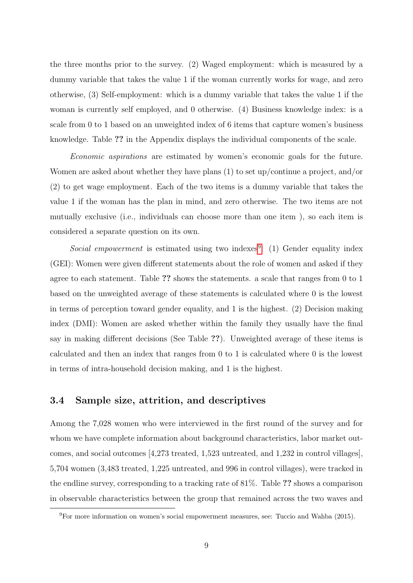the three months prior to the survey. (2) Waged employment: which is measured by a dummy variable that takes the value 1 if the woman currently works for wage, and zero otherwise, (3) Self-employment: which is a dummy variable that takes the value 1 if the woman is currently self employed, and 0 otherwise. (4) Business knowledge index: is a scale from 0 to 1 based on an unweighted index of 6 items that capture women's business knowledge. Table ?? in the Appendix displays the individual components of the scale.

Economic aspirations are estimated by women's economic goals for the future. Women are asked about whether they have plans (1) to set up/continue a project, and/or (2) to get wage employment. Each of the two items is a dummy variable that takes the value 1 if the woman has the plan in mind, and zero otherwise. The two items are not mutually exclusive (i.e., individuals can choose more than one item ), so each item is considered a separate question on its own.

Social empowerment is estimated using two indexes<sup>[9](#page-8-0)</sup>: (1) Gender equality index (GEI): Women were given different statements about the role of women and asked if they agree to each statement. Table ?? shows the statements. a scale that ranges from 0 to 1 based on the unweighted average of these statements is calculated where 0 is the lowest in terms of perception toward gender equality, and 1 is the highest. (2) Decision making index (DMI): Women are asked whether within the family they usually have the final say in making different decisions (See Table ??). Unweighted average of these items is calculated and then an index that ranges from 0 to 1 is calculated where 0 is the lowest in terms of intra-household decision making, and 1 is the highest.

#### 3.4 Sample size, attrition, and descriptives

Among the 7,028 women who were interviewed in the first round of the survey and for whom we have complete information about background characteristics, labor market outcomes, and social outcomes [4,273 treated, 1,523 untreated, and 1,232 in control villages], 5,704 women (3,483 treated, 1,225 untreated, and 996 in control villages), were tracked in the endline survey, corresponding to a tracking rate of 81%. Table ?? shows a comparison in observable characteristics between the group that remained across the two waves and

<span id="page-8-0"></span><sup>9</sup>For more information on women's social empowerment measures, see: Tuccio and Wahba (2015).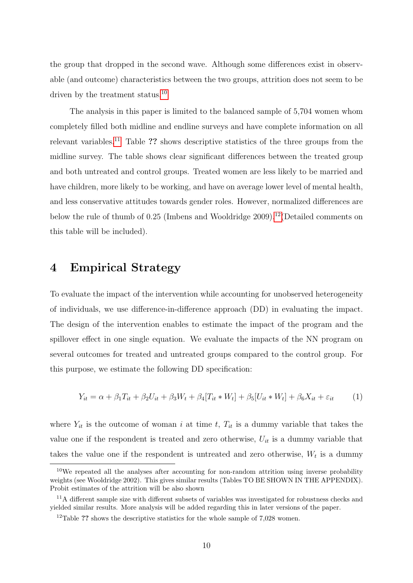the group that dropped in the second wave. Although some differences exist in observable (and outcome) characteristics between the two groups, attrition does not seem to be driven by the treatment status.<sup>[10](#page-9-0)</sup>

The analysis in this paper is limited to the balanced sample of 5,704 women whom completely filled both midline and endline surveys and have complete information on all relevant variables.<sup>[11](#page-9-1)</sup> Table ?? shows descriptive statistics of the three groups from the midline survey. The table shows clear significant differences between the treated group and both untreated and control groups. Treated women are less likely to be married and have children, more likely to be working, and have on average lower level of mental health, and less conservative attitudes towards gender roles. However, normalized differences are below the rule of thumb of 0.25 (Imbens and Wooldridge 2009).<sup>[12](#page-9-2)</sup> (Detailed comments on this table will be included).

## 4 Empirical Strategy

To evaluate the impact of the intervention while accounting for unobserved heterogeneity of individuals, we use difference-in-difference approach (DD) in evaluating the impact. The design of the intervention enables to estimate the impact of the program and the spillover effect in one single equation. We evaluate the impacts of the NN program on several outcomes for treated and untreated groups compared to the control group. For this purpose, we estimate the following DD specification:

$$
Y_{it} = \alpha + \beta_1 T_{it} + \beta_2 U_{it} + \beta_3 W_t + \beta_4 [T_{it} * W_t] + \beta_5 [U_{it} * W_t] + \beta_6 X_{it} + \varepsilon_{it} \tag{1}
$$

where  $Y_{it}$  is the outcome of woman i at time t,  $T_{it}$  is a dummy variable that takes the value one if the respondent is treated and zero otherwise,  $U_{it}$  is a dummy variable that takes the value one if the respondent is untreated and zero otherwise,  $W_t$  is a dummy

<span id="page-9-0"></span> $10$ We repeated all the analyses after accounting for non-random attrition using inverse probability weights (see Wooldridge 2002). This gives similar results (Tables TO BE SHOWN IN THE APPENDIX). Probit estimates of the attrition will be also shown

<span id="page-9-1"></span><sup>11</sup>A different sample size with different subsets of variables was investigated for robustness checks and yielded similar results. More analysis will be added regarding this in later versions of the paper.

<span id="page-9-2"></span><sup>&</sup>lt;sup>12</sup>Table ?? shows the descriptive statistics for the whole sample of  $7,028$  women.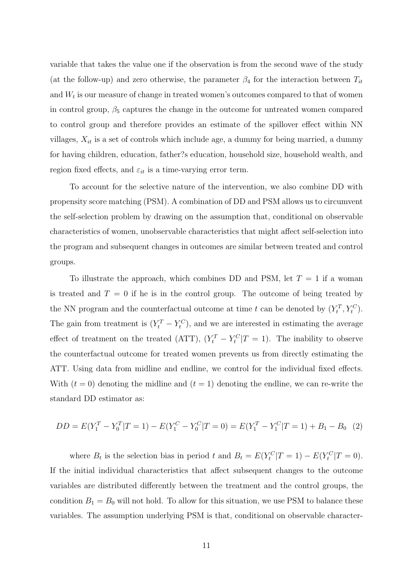variable that takes the value one if the observation is from the second wave of the study (at the follow-up) and zero otherwise, the parameter  $\beta_4$  for the interaction between  $T_{it}$ and  $W_t$  is our measure of change in treated women's outcomes compared to that of women in control group,  $\beta_5$  captures the change in the outcome for untreated women compared to control group and therefore provides an estimate of the spillover effect within NN villages,  $X_{it}$  is a set of controls which include age, a dummy for being married, a dummy for having children, education, father?s education, household size, household wealth, and region fixed effects, and  $\varepsilon_{it}$  is a time-varying error term.

To account for the selective nature of the intervention, we also combine DD with propensity score matching (PSM). A combination of DD and PSM allows us to circumvent the self-selection problem by drawing on the assumption that, conditional on observable characteristics of women, unobservable characteristics that might affect self-selection into the program and subsequent changes in outcomes are similar between treated and control groups.

To illustrate the approach, which combines DD and PSM, let  $T = 1$  if a woman is treated and  $T = 0$  if he is in the control group. The outcome of being treated by the NN program and the counterfactual outcome at time t can be denoted by  $(Y_t^T, Y_t^C)$ . The gain from treatment is  $(Y_t^T - Y_t^C)$ , and we are interested in estimating the average effect of treatment on the treated (ATT),  $(Y_t^T - Y_t^C | T = 1)$ . The inability to observe the counterfactual outcome for treated women prevents us from directly estimating the ATT. Using data from midline and endline, we control for the individual fixed effects. With  $(t = 0)$  denoting the midline and  $(t = 1)$  denoting the endline, we can re-write the standard DD estimator as:

$$
DD = E(Y_1^T - Y_0^T | T = 1) - E(Y_1^C - Y_0^C | T = 0) = E(Y_1^T - Y_1^C | T = 1) + B_1 - B_0 \tag{2}
$$

where  $B_t$  is the selection bias in period t and  $B_t = E(Y_t^C | T = 1) - E(Y_t^C | T = 0)$ . If the initial individual characteristics that affect subsequent changes to the outcome variables are distributed differently between the treatment and the control groups, the condition  $B_1 = B_0$  will not hold. To allow for this situation, we use PSM to balance these variables. The assumption underlying PSM is that, conditional on observable character-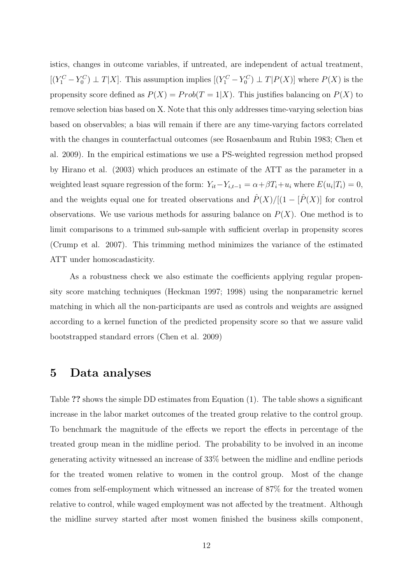istics, changes in outcome variables, if untreated, are independent of actual treatment,  $[(Y_1^C - Y_0^C) \perp T | X]$ . This assumption implies  $[(Y_1^C - Y_0^C) \perp T | P(X)]$  where  $P(X)$  is the propensity score defined as  $P(X) = Prob(T = 1|X)$ . This justifies balancing on  $P(X)$  to remove selection bias based on X. Note that this only addresses time-varying selection bias based on observables; a bias will remain if there are any time-varying factors correlated with the changes in counterfactual outcomes (see Rosaenbaum and Rubin 1983; Chen et al. 2009). In the empirical estimations we use a PS-weighted regression method propsed by Hirano et al. (2003) which produces an estimate of the ATT as the parameter in a weighted least square regression of the form:  $Y_{it} - Y_{i,t-1} = \alpha + \beta T_i + u_i$  where  $E(u_i | T_i) = 0$ , and the weights equal one for treated observations and  $\hat{P}(X)/[(1 - [\hat{P}(X)]$  for control observations. We use various methods for assuring balance on  $P(X)$ . One method is to limit comparisons to a trimmed sub-sample with sufficient overlap in propensity scores (Crump et al. 2007). This trimming method minimizes the variance of the estimated ATT under homoscadasticity.

As a robustness check we also estimate the coefficients applying regular propensity score matching techniques (Heckman 1997; 1998) using the nonparametric kernel matching in which all the non-participants are used as controls and weights are assigned according to a kernel function of the predicted propensity score so that we assure valid bootstrapped standard errors (Chen et al. 2009)

## 5 Data analyses

Table ?? shows the simple DD estimates from Equation (1). The table shows a significant increase in the labor market outcomes of the treated group relative to the control group. To benchmark the magnitude of the effects we report the effects in percentage of the treated group mean in the midline period. The probability to be involved in an income generating activity witnessed an increase of 33% between the midline and endline periods for the treated women relative to women in the control group. Most of the change comes from self-employment which witnessed an increase of 87% for the treated women relative to control, while waged employment was not affected by the treatment. Although the midline survey started after most women finished the business skills component,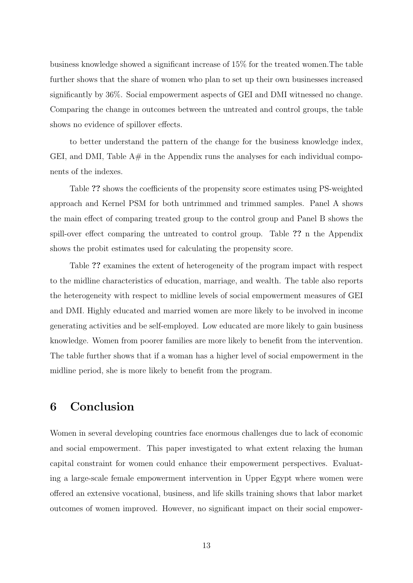business knowledge showed a significant increase of 15% for the treated women.The table further shows that the share of women who plan to set up their own businesses increased significantly by 36%. Social empowerment aspects of GEI and DMI witnessed no change. Comparing the change in outcomes between the untreated and control groups, the table shows no evidence of spillover effects.

to better understand the pattern of the change for the business knowledge index, GEI, and DMI, Table  $A#$  in the Appendix runs the analyses for each individual components of the indexes.

Table ?? shows the coefficients of the propensity score estimates using PS-weighted approach and Kernel PSM for both untrimmed and trimmed samples. Panel A shows the main effect of comparing treated group to the control group and Panel B shows the spill-over effect comparing the untreated to control group. Table ?? n the Appendix shows the probit estimates used for calculating the propensity score.

Table ?? examines the extent of heterogeneity of the program impact with respect to the midline characteristics of education, marriage, and wealth. The table also reports the heterogeneity with respect to midline levels of social empowerment measures of GEI and DMI. Highly educated and married women are more likely to be involved in income generating activities and be self-employed. Low educated are more likely to gain business knowledge. Women from poorer families are more likely to benefit from the intervention. The table further shows that if a woman has a higher level of social empowerment in the midline period, she is more likely to benefit from the program.

## 6 Conclusion

Women in several developing countries face enormous challenges due to lack of economic and social empowerment. This paper investigated to what extent relaxing the human capital constraint for women could enhance their empowerment perspectives. Evaluating a large-scale female empowerment intervention in Upper Egypt where women were offered an extensive vocational, business, and life skills training shows that labor market outcomes of women improved. However, no significant impact on their social empower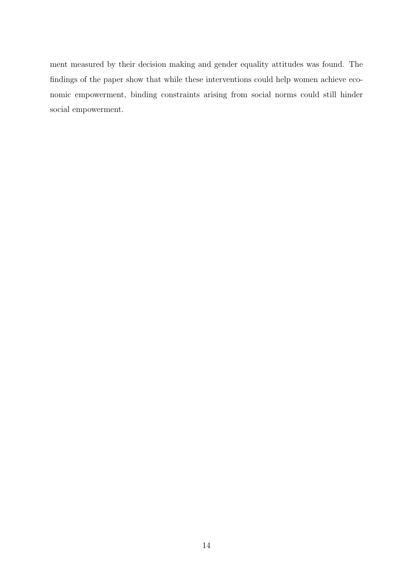ment measured by their decision making and gender equality attitudes was found. The findings of the paper show that while these interventions could help women achieve economic empowerment, binding constraints arising from social norms could still hinder social empowerment.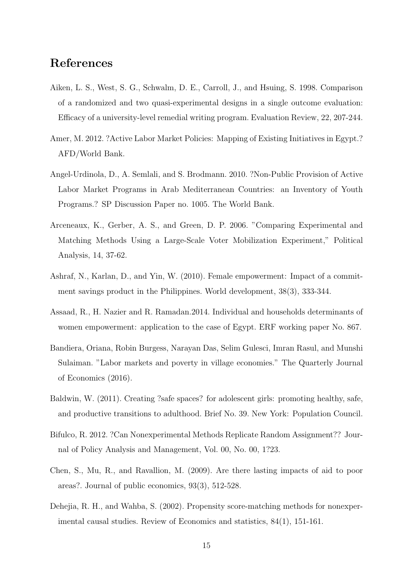## References

- Aiken, L. S., West, S. G., Schwalm, D. E., Carroll, J., and Hsuing, S. 1998. Comparison of a randomized and two quasi-experimental designs in a single outcome evaluation: Efficacy of a university-level remedial writing program. Evaluation Review, 22, 207-244.
- Amer, M. 2012. ?Active Labor Market Policies: Mapping of Existing Initiatives in Egypt.? AFD/World Bank.
- Angel-Urdinola, D., A. Semlali, and S. Brodmann. 2010. ?Non-Public Provision of Active Labor Market Programs in Arab Mediterranean Countries: an Inventory of Youth Programs.? SP Discussion Paper no. 1005. The World Bank.
- Arceneaux, K., Gerber, A. S., and Green, D. P. 2006. "Comparing Experimental and Matching Methods Using a Large-Scale Voter Mobilization Experiment," Political Analysis, 14, 37-62.
- Ashraf, N., Karlan, D., and Yin, W. (2010). Female empowerment: Impact of a commitment savings product in the Philippines. World development, 38(3), 333-344.
- Assaad, R., H. Nazier and R. Ramadan.2014. Individual and households determinants of women empowerment: application to the case of Egypt. ERF working paper No. 867.
- Bandiera, Oriana, Robin Burgess, Narayan Das, Selim Gulesci, Imran Rasul, and Munshi Sulaiman. "Labor markets and poverty in village economies." The Quarterly Journal of Economics (2016).
- Baldwin, W. (2011). Creating ?safe spaces? for adolescent girls: promoting healthy, safe, and productive transitions to adulthood. Brief No. 39. New York: Population Council.
- Bifulco, R. 2012. ?Can Nonexperimental Methods Replicate Random Assignment?? Journal of Policy Analysis and Management, Vol. 00, No. 00, 1?23.
- Chen, S., Mu, R., and Ravallion, M. (2009). Are there lasting impacts of aid to poor areas?. Journal of public economics, 93(3), 512-528.
- Dehejia, R. H., and Wahba, S. (2002). Propensity score-matching methods for nonexperimental causal studies. Review of Economics and statistics, 84(1), 151-161.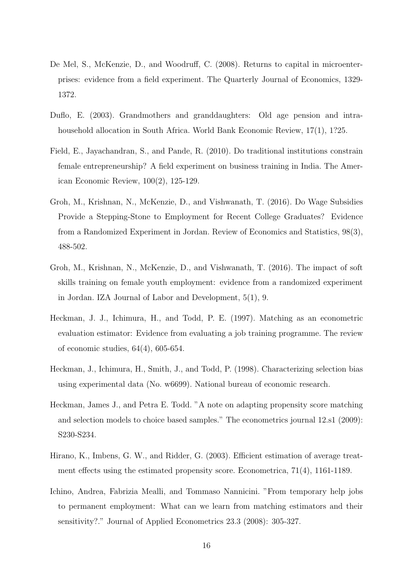- De Mel, S., McKenzie, D., and Woodruff, C. (2008). Returns to capital in microenterprises: evidence from a field experiment. The Quarterly Journal of Economics, 1329- 1372.
- Duflo, E. (2003). Grandmothers and granddaughters: Old age pension and intrahousehold allocation in South Africa. World Bank Economic Review, 17(1), 1?25.
- Field, E., Jayachandran, S., and Pande, R. (2010). Do traditional institutions constrain female entrepreneurship? A field experiment on business training in India. The American Economic Review, 100(2), 125-129.
- Groh, M., Krishnan, N., McKenzie, D., and Vishwanath, T. (2016). Do Wage Subsidies Provide a Stepping-Stone to Employment for Recent College Graduates? Evidence from a Randomized Experiment in Jordan. Review of Economics and Statistics, 98(3), 488-502.
- Groh, M., Krishnan, N., McKenzie, D., and Vishwanath, T. (2016). The impact of soft skills training on female youth employment: evidence from a randomized experiment in Jordan. IZA Journal of Labor and Development, 5(1), 9.
- Heckman, J. J., Ichimura, H., and Todd, P. E. (1997). Matching as an econometric evaluation estimator: Evidence from evaluating a job training programme. The review of economic studies, 64(4), 605-654.
- Heckman, J., Ichimura, H., Smith, J., and Todd, P. (1998). Characterizing selection bias using experimental data (No. w6699). National bureau of economic research.
- Heckman, James J., and Petra E. Todd. "A note on adapting propensity score matching and selection models to choice based samples." The econometrics journal 12.s1 (2009): S230-S234.
- Hirano, K., Imbens, G. W., and Ridder, G. (2003). Efficient estimation of average treatment effects using the estimated propensity score. Econometrica, 71(4), 1161-1189.
- Ichino, Andrea, Fabrizia Mealli, and Tommaso Nannicini. "From temporary help jobs to permanent employment: What can we learn from matching estimators and their sensitivity?." Journal of Applied Econometrics 23.3 (2008): 305-327.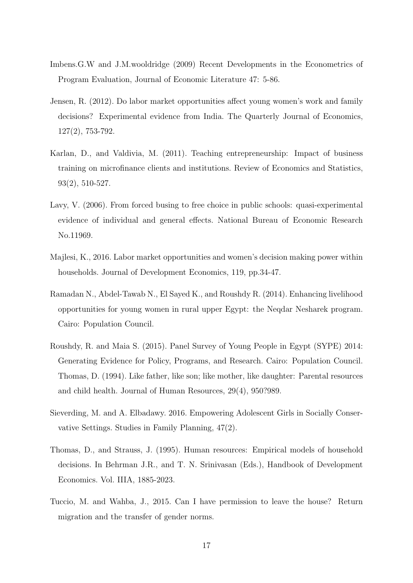- Imbens.G.W and J.M.wooldridge (2009) Recent Developments in the Econometrics of Program Evaluation, Journal of Economic Literature 47: 5-86.
- Jensen, R. (2012). Do labor market opportunities affect young women's work and family decisions? Experimental evidence from India. The Quarterly Journal of Economics, 127(2), 753-792.
- Karlan, D., and Valdivia, M. (2011). Teaching entrepreneurship: Impact of business training on microfinance clients and institutions. Review of Economics and Statistics, 93(2), 510-527.
- Lavy, V. (2006). From forced busing to free choice in public schools: quasi-experimental evidence of individual and general effects. National Bureau of Economic Research No.11969.
- Majlesi, K., 2016. Labor market opportunities and women's decision making power within households. Journal of Development Economics, 119, pp.34-47.
- Ramadan N., Abdel-Tawab N., El Sayed K., and Roushdy R. (2014). Enhancing livelihood opportunities for young women in rural upper Egypt: the Neqdar Nesharek program. Cairo: Population Council.
- Roushdy, R. and Maia S. (2015). Panel Survey of Young People in Egypt (SYPE) 2014: Generating Evidence for Policy, Programs, and Research. Cairo: Population Council. Thomas, D. (1994). Like father, like son; like mother, like daughter: Parental resources and child health. Journal of Human Resources, 29(4), 950?989.
- Sieverding, M. and A. Elbadawy. 2016. Empowering Adolescent Girls in Socially Conservative Settings. Studies in Family Planning, 47(2).
- Thomas, D., and Strauss, J. (1995). Human resources: Empirical models of household decisions. In Behrman J.R., and T. N. Srinivasan (Eds.), Handbook of Development Economics. Vol. IIIA, 1885-2023.
- Tuccio, M. and Wahba, J., 2015. Can I have permission to leave the house? Return migration and the transfer of gender norms.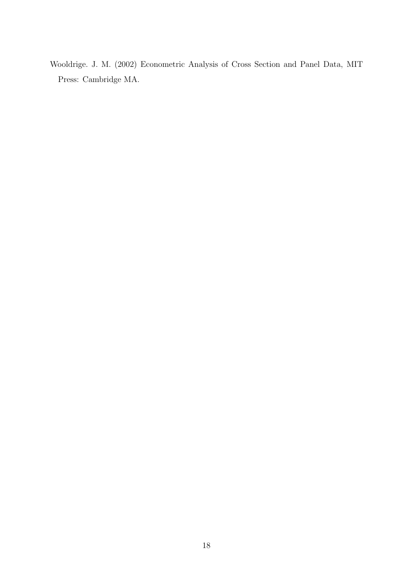Wooldrige. J. M. (2002) Econometric Analysis of Cross Section and Panel Data, MIT Press: Cambridge MA.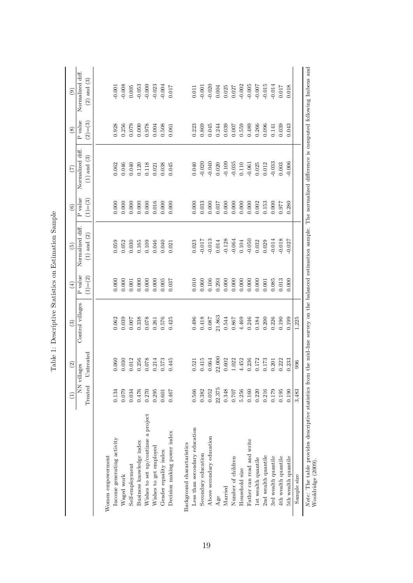|                                                                                                                                                                                             |         | $\mathcal{L}$ | $\widehat{S}$    | $\left( 4\right)$ | $\widetilde{5}$  | $\odot$         | $(\overline{z})$ | $\circled{s}$   | $\odot$                          |
|---------------------------------------------------------------------------------------------------------------------------------------------------------------------------------------------|---------|---------------|------------------|-------------------|------------------|-----------------|------------------|-----------------|----------------------------------|
|                                                                                                                                                                                             | NN vil  | lages         | Control villages | P value           | Normalized diff. | ${\bf P}$ value | Normalized diff  | ${\bf P}$ value | Normalized diff.                 |
|                                                                                                                                                                                             | Treated | Jntreated     |                  | $(1) = (2)$       | $(1)$ and $(2)$  | $(1) = (3)$     | $(1)$ and $(3)$  | $(2)=(3)$       | $(2)$ and $(3)$                  |
|                                                                                                                                                                                             |         |               |                  |                   |                  |                 |                  |                 |                                  |
| Women empowerment                                                                                                                                                                           |         |               |                  |                   |                  |                 |                  |                 |                                  |
| Income generating activity                                                                                                                                                                  | 0.134   | 0.060         | 0.062            | $0.000$           | 0.059            | 0.000           | 0.062            | 0.928           | $-0.001$                         |
| Waged work                                                                                                                                                                                  | 0.079   | 0.030         | 0.039            | 0.000             | 0.052            | 0.000           | 0.046            | 0.256           | $-0.008$                         |
| Self-employment                                                                                                                                                                             | 0.034   | 0.012         | 0.007            | 0.001             | 0.030            | 0.000           | 0.040            | 0.079           | $0.005\,$                        |
| Business knowledge index                                                                                                                                                                    | 0.476   | 0.256         | 0.338            | 0.000             | 0.165            | 0.000           | 0.120            | 0.000           |                                  |
| Wishes to set up/continue a project                                                                                                                                                         | 0.270   | 0.078         | 0.078            | 0.000             | 0.109            |                 | 0.118            | 0.978           | $-0.053$<br>$-0.000$<br>$-0.023$ |
| Wishes to get employed                                                                                                                                                                      | 0.295   | 0.214         | 0.261            | 0.000             | 0.046            | 0.016           | 0.021            | 0.004           |                                  |
| Gender equality index                                                                                                                                                                       | 0.601   | 0.573         | 0.576            | $0.005\,$         | 0.040            | 0.000           | 0.038            | 0.508           | $-0.004$                         |
| Decision making power index                                                                                                                                                                 | 0.467   | 0.445         | 0.425            | 0.037             | 0.021            | 0.000           | 0.045            | 0.061           | 0.017                            |
| Background charactaristics                                                                                                                                                                  |         |               |                  |                   |                  |                 |                  |                 |                                  |
| Less than secondary education                                                                                                                                                               | 0.566   | 0.521         | 0.496            | 0.010             | 0.023            | 0.000           | 0.040            | 0.223           | $0.011\,$                        |
| Secondary education                                                                                                                                                                         | 0.382   | 0.415         | $0.418\,$        | 0.060             | 710.017          | 0.33            | $-0.020$         | 0.869           | $-0.001$<br>$-0.020$             |
| Above secondary education                                                                                                                                                                   | 0.052   | 0.064         | 0.087            | 0.106             | $-0.013$         | 0.000           | $-0.040$         | 0.045           |                                  |
| Age                                                                                                                                                                                         | 22.375  | 22.000        | 21.863           | 0.293             | 0.014            | 0.037           | 0.020            | 0.244           | 0.004                            |
| Married                                                                                                                                                                                     | 0.348   | 0.602         | 0.544            | 0.000             | $-0.128$         | 0.000           | $-0.109$         | 0.039           | 0.025                            |
| Number of children                                                                                                                                                                          | 0.707   | 1.022         | 0.867            | 0.000             | $-0.064$         | 0.000           | $-0.035$         | 0.007           | $0.027\,$                        |
| Household size                                                                                                                                                                              | 5.256   | 4.452         | 4.469            | 0.000             | 0.104            | 0.000           | 0.110            | 0.559           | $-0.002$                         |
| Father can read and write                                                                                                                                                                   | 0.160   | 0.236         | 0.246            | 0.000             | $-0.050$         | 0.000           | $-0.061$         | 0.489           |                                  |
| 1st wealth quantile                                                                                                                                                                         | 0.220   | 0.172         | 0.184            | 0.000             | 0.032            | 0.002           | 0.025            | 0.266           | $-0.005$<br>$-0.007$             |
| 2nd wealth quantile                                                                                                                                                                         | 0.216   | 0.173         | 0.200            | 0.001             | 0.029            | 0.153           | 0.012            | 0.096           | $-0.015$                         |
| 3rd wealth quantile                                                                                                                                                                         | 0.179   | 0.201         | 0.226            | 0.085             | $-0.014$         | 0.000           | $-0.033$         | 0.141           | $-0.014$                         |
| 4th wealth quantile                                                                                                                                                                         | 0.195   | 0.222         | 0.190            | $0.013\,$         | 0.018            | 0.977           | $0.003$          | 0.039           | $710.0$                          |
| 5th wealth quantile                                                                                                                                                                         | 0.190   | 0.233         | 0.199            | 0.000             | $-0.027$         | 0.280           | 0.006            | 0.043           | 0.018                            |
| Sample size                                                                                                                                                                                 | 3,483   | 996           | 1,225            |                   |                  |                 |                  |                 |                                  |
| Note: The table provides descriptive statistics from the mid-line survey on the balanced estimation sample. The normalized difference is computed following Imbens and<br>Wooldridge (2009) |         |               |                  |                   |                  |                 |                  |                 |                                  |
|                                                                                                                                                                                             |         |               |                  |                   |                  |                 |                  |                 |                                  |

Table 1: Descriptive Statistics on Estimation Sample Table 1: Descriptive Statistics on Estimation Sample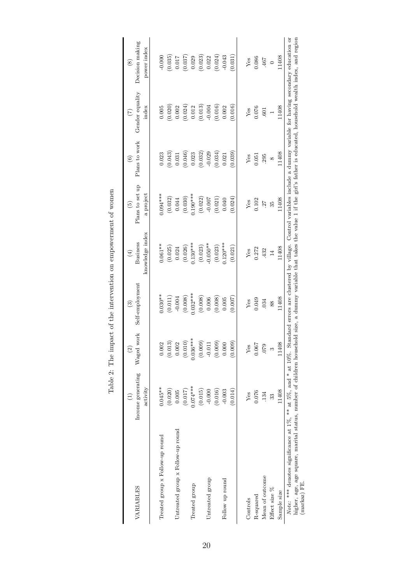| VARIABLES                                                                                                                                                                                                                                                                                                                                                                                   | Income generating<br>activity<br>Ξ | Waged work<br>$\widehat{c}$ | Self-employment<br>$\binom{3}{2}$ | knowledge index<br><b>Business</b><br>$\bigoplus$ | Plans to set up<br>a project<br>$\widehat{5}$ | Plans to work<br>$\odot$ | Gender equality<br>index<br>$\widehat{C}$ | Decision making<br>power index<br>$\circledcirc$ |
|---------------------------------------------------------------------------------------------------------------------------------------------------------------------------------------------------------------------------------------------------------------------------------------------------------------------------------------------------------------------------------------------|------------------------------------|-----------------------------|-----------------------------------|---------------------------------------------------|-----------------------------------------------|--------------------------|-------------------------------------------|--------------------------------------------------|
| Treated group x Follow-up round                                                                                                                                                                                                                                                                                                                                                             | $0.045**$<br>(0.020)               | 0.002<br>(0.013)            | $0.030**$<br>(0.011)              | $0.061***$<br>(0.025)                             | $0.094***$<br>(0.032)                         | (0.043)<br>0.023         | (0.020)<br>$0.005$                        | $-0.000$<br>(0.035)                              |
| Untreated group x Follow-up round                                                                                                                                                                                                                                                                                                                                                           | (0.017)<br>0.005                   | 0.002<br>(0.010)            | (0.008)<br>$-0.004$               | (0.026)<br>0.024                                  | (0.030)<br>0.044                              | (0.046)<br>0.031         | (0.024)<br>$0.002\,$                      | $\left(0.037\right)$<br>$0.017$                  |
| Treated group                                                                                                                                                                                                                                                                                                                                                                               | $0.074***$<br>(0.015)              | $0.036***$<br>(0.009)       | $0.032***$<br>(0.008)             | $0.130***$<br>(0.023)                             | $0.190***$<br>(0.022)                         | (0.032)<br>0.023         | (0.013)<br>0.012                          | (0.023)<br>0.029                                 |
| Untreated group                                                                                                                                                                                                                                                                                                                                                                             | (0.016)<br>$-0.000$                | $-0.011$<br>(0.009)         | (0.008)<br>0.006                  | $-0.050**$<br>(0.023)                             | (0.021)<br>$-0.007$                           | (0.034)<br>$-0.029$      | (0.016)<br>$-0.004$                       | (0.024)<br>0.022                                 |
| Follow up round                                                                                                                                                                                                                                                                                                                                                                             | (0.014)<br>$-0.003$                | 0.000<br>(0.009)            | (0.007)<br>0.005                  | $0.120***$<br>(0.021)                             | 0.040<br>(0.024)                              | (0.039)<br>0.021         | (0.016)<br>0.002                          | $-0.043$<br>(0.031)                              |
| Controls                                                                                                                                                                                                                                                                                                                                                                                    | Yes                                | Yes                         | Yes                               | Yes                                               | ${\rm Yes}$                                   | Yes                      | ${\rm Yes}$                               | ${\rm Yes}$                                      |
| R-squared                                                                                                                                                                                                                                                                                                                                                                                   | 0.076                              | 0.067                       | 0.049                             | 0.272                                             | 0.102                                         | 0.051                    | 0.076                                     | 0.086                                            |
| Mean of outcome                                                                                                                                                                                                                                                                                                                                                                             | 134                                | .079                        | 034                               | .432                                              | $\overline{27}$                               | 295                      | .601                                      | 467                                              |
| Effect size %                                                                                                                                                                                                                                                                                                                                                                               | 33                                 | $\infty$                    | 88                                | $14\,$                                            | 35                                            | $\infty$                 |                                           | $\circ$                                          |
| Sample size                                                                                                                                                                                                                                                                                                                                                                                 | 11408                              | 11408                       | 11408                             | 11408                                             | 11408                                         | 11408                    | 11408                                     | 11408                                            |
| higher, age square, marital status, number of children household size, a dummy variable that takes the value 1 if the girl's father is educated, household wealth index, and region<br>Note: *** denotes significance at 1%, ** at 5%, and * at 10%. Standard errors are clustered by village. Control variables include a dummy variable for having secondary education or<br>(markaz) FE. |                                    |                             |                                   |                                                   |                                               |                          |                                           |                                                  |

Table 2: The impact of the intervention on empowerment of women Table 2: The impact of the intervention on empowerment of women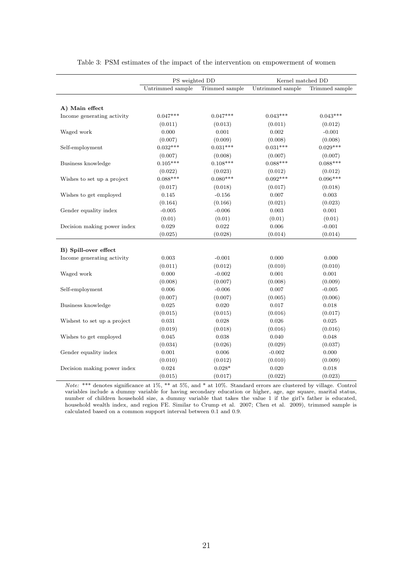|                             | PS weighted DD   |                | Kernel matched DD |                |
|-----------------------------|------------------|----------------|-------------------|----------------|
|                             | Untrimmed sample | Trimmed sample | Untrimmed sample  | Trimmed sample |
|                             |                  |                |                   |                |
| A) Main effect              |                  |                |                   |                |
| Income generating activity  | $0.047***$       | $0.047***$     | $0.043***$        | $0.043***$     |
|                             | (0.011)          | (0.013)        | (0.011)           | (0.012)        |
| Waged work                  | 0.000            | 0.001          | 0.002             | $-0.001$       |
|                             | (0.007)          | (0.009)        | (0.008)           | (0.008)        |
| Self-employment             | $0.032***$       | $0.031***$     | $0.031***$        | $0.029***$     |
|                             | (0.007)          | (0.008)        | (0.007)           | (0.007)        |
| Business knowledge          | $0.105***$       | $0.108***$     | $0.088***$        | $0.088***$     |
|                             | (0.022)          | (0.023)        | (0.012)           | (0.012)        |
| Wishes to set up a project  | $0.088***$       | $0.080***$     | $0.092***$        | $0.096***$     |
|                             | (0.017)          | (0.018)        | (0.017)           | (0.018)        |
| Wishes to get employed      | 0.145            | $-0.156$       | 0.007             | 0.003          |
|                             | (0.164)          | (0.166)        | (0.021)           | (0.023)        |
| Gender equality index       | $-0.005$         | $-0.006$       | 0.003             | 0.001          |
|                             | (0.01)           | (0.01)         | (0.01)            | (0.01)         |
| Decision making power index | 0.029            | 0.022          | 0.006             | $-0.001$       |
|                             | (0.025)          | (0.028)        | (0.014)           | (0.014)        |
|                             |                  |                |                   |                |
| B) Spill-over effect        |                  |                |                   |                |
| Income generating activity  | 0.003            | $-0.001$       | 0.000             | 0.000          |
|                             | (0.011)          | (0.012)        | (0.010)           | (0.010)        |
| Waged work                  | 0.000            | $-0.002$       | 0.001             | 0.001          |
|                             | (0.008)          | (0.007)        | (0.008)           | (0.009)        |
| Self-employment             | 0.006            | $-0.006$       | 0.007             | $-0.005$       |
|                             | (0.007)          | (0.007)        | (0.005)           | (0.006)        |
| Business knowledge          | 0.025            | 0.020          | 0.017             | 0.018          |
|                             | (0.015)          | (0.015)        | (0.016)           | (0.017)        |
| Wishest to set up a project | 0.031            | 0.028          | 0.026             | 0.025          |
|                             | (0.019)          | (0.018)        | (0.016)           | (0.016)        |
| Wishes to get employed      | 0.045            | 0.038          | 0.040             | 0.048          |
|                             | (0.034)          | (0.026)        | (0.029)           | (0.037)        |
| Gender equality index       | 0.001            | 0.006          | $-0.002$          | 0.000          |
|                             | (0.010)          | (0.012)        | (0.010)           | (0.009)        |
| Decision making power index | 0.024            | $0.028*$       | 0.020             | 0.018          |
|                             | (0.015)          | (0.017)        | (0.022)           | (0.023)        |

Table 3: PSM estimates of the impact of the intervention on empowerment of women

Note: \*\*\* denotes significance at 1%, \*\* at 5%, and \* at 10%. Standard errors are clustered by village. Control variables include a dummy variable for having secondary education or higher, age, age square, marital status, number of children household size, a dummy variable that takes the value 1 if the girl's father is educated, household wealth index, and region FE. Similar to Crump et al. 2007; Chen et al. 2009), trimmed sample is calculated based on a common support interval between 0.1 and 0.9.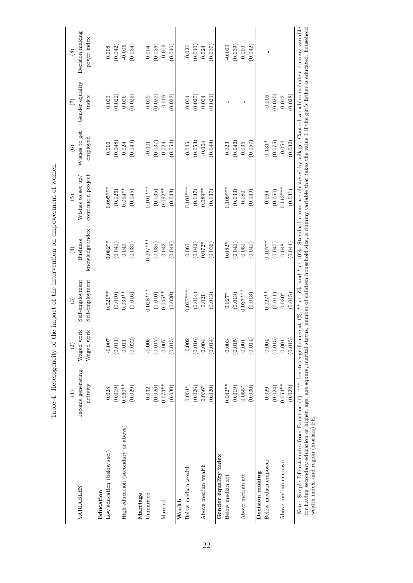| where the componed the contract of the contract of the contract of the component of the component of the compo<br>l |
|---------------------------------------------------------------------------------------------------------------------|
|                                                                                                                     |
| )<br> }<br> }                                                                                                       |
| $\frac{1}{2}$                                                                                                       |
|                                                                                                                     |
|                                                                                                                     |
|                                                                                                                     |
| $\frac{1}{2}$<br>$F_{\rm eff}$                                                                                      |

| VARIABLES                                                                                                                                                                                                                                                                                                                                                                                                                               | Income generating<br>activity<br>Э | Waged work<br>Waged work<br>$\widehat{2}$ | Self-employment<br>Self-employment<br>$\widehat{c}$ | knowledge index<br><b>Business</b><br>$\left( 4\right)$ | continue a project<br>Wishes to set up/<br>$\widehat{5}$ | Wishes to get<br>employed<br>$\widehat{6}$ | Gender equality<br>index<br>(7) | Decision making<br>power index<br>$\circled{s}$ |
|-----------------------------------------------------------------------------------------------------------------------------------------------------------------------------------------------------------------------------------------------------------------------------------------------------------------------------------------------------------------------------------------------------------------------------------------|------------------------------------|-------------------------------------------|-----------------------------------------------------|---------------------------------------------------------|----------------------------------------------------------|--------------------------------------------|---------------------------------|-------------------------------------------------|
| Low education (below sec.)<br>Education                                                                                                                                                                                                                                                                                                                                                                                                 | 0.028                              | $-0.007$                                  | $0.021***$                                          | $0.082**$                                               | $0.095***$                                               | 0.016                                      | 0.003                           | 0.008                                           |
|                                                                                                                                                                                                                                                                                                                                                                                                                                         | (0.019)                            | (0.011)                                   | (0.010)                                             | (0.041)                                                 | (0.026)                                                  | (0.048)                                    | (0.022)                         | (0.042)                                         |
| High education (secondary or above)                                                                                                                                                                                                                                                                                                                                                                                                     | $0.060**$                          | 0.011                                     | $0.039**$                                           | 0.049                                                   | $0.094***$                                               | 0.024                                      | 0.006                           | $-0.006$                                        |
|                                                                                                                                                                                                                                                                                                                                                                                                                                         | (0.029)                            | (0.022)                                   | (0.016)                                             | (0.039)                                                 | (0.045)                                                  | (0.049)                                    | (0.025)                         | (0.034)                                         |
| Marriage                                                                                                                                                                                                                                                                                                                                                                                                                                |                                    |                                           |                                                     |                                                         |                                                          |                                            |                                 |                                                 |
| Unmarried                                                                                                                                                                                                                                                                                                                                                                                                                               | 0.032                              | $-0.005$                                  | $0.028***$                                          | $0.097***$                                              | $0.101***$                                               | $-0.001$                                   | 0.009                           | 0.004                                           |
|                                                                                                                                                                                                                                                                                                                                                                                                                                         | (0.026)                            | (0.017)                                   | (0.010)                                             | (0.035)                                                 | (0.035)                                                  | (0.037)                                    | (0.022)                         | (0.036)                                         |
| Married                                                                                                                                                                                                                                                                                                                                                                                                                                 | $0.073**$                          | 0.007                                     | $0.045**$                                           | 0.042                                                   | $0.092**$                                                | 0.024                                      | $-0.006$                        | $-0.019$                                        |
|                                                                                                                                                                                                                                                                                                                                                                                                                                         | (0.030)                            | (0.015)                                   | (0.020)                                             | (0.049)                                                 | (0.043)                                                  | (0.054)                                    | (0.023)                         | (0.040)                                         |
| Wealth                                                                                                                                                                                                                                                                                                                                                                                                                                  |                                    |                                           |                                                     |                                                         |                                                          |                                            |                                 |                                                 |
| Below median wealth                                                                                                                                                                                                                                                                                                                                                                                                                     | $0.051*$                           | $-0.002$                                  | $0.037***$                                          | 0.065                                                   | $0.101***$                                               | 0.045                                      | 0.004                           | $-0.020$                                        |
|                                                                                                                                                                                                                                                                                                                                                                                                                                         | (0.026)                            | (0.016)                                   | (0.014)                                             | (0.042)                                                 | (0.037)                                                  | (0.053)                                    | (0.025)                         | (0.040)                                         |
| Above median wealth                                                                                                                                                                                                                                                                                                                                                                                                                     | $0.036*$                           | 0.004                                     | 0.021                                               | $0.072*$                                                | $0.089**$                                                | $-0.004$                                   | 0.004                           | 0.024                                           |
|                                                                                                                                                                                                                                                                                                                                                                                                                                         | (0.020)                            | (0.014)                                   | (0.013)                                             | (0.036)                                                 | (0.037)                                                  | (0.044)                                    | (0.021)                         | (0.037)                                         |
| Gender equality index                                                                                                                                                                                                                                                                                                                                                                                                                   |                                    |                                           |                                                     |                                                         |                                                          |                                            |                                 |                                                 |
| Below median att                                                                                                                                                                                                                                                                                                                                                                                                                        | $0.042***$                         | 0.003                                     | $0.027*$                                            | $0.082*$                                                | $0.109***$                                               | 0.023                                      |                                 | $-0.003$                                        |
|                                                                                                                                                                                                                                                                                                                                                                                                                                         | (0.019)                            | (0.015)                                   | (0.013)                                             | (0.041)                                                 | (0.033)                                                  | (0.046)                                    |                                 | (0.039)                                         |
| Above median att                                                                                                                                                                                                                                                                                                                                                                                                                        | $0.055*$                           | 0.001                                     | $0.037***$                                          | 0.051                                                   | 0.080                                                    | 0.035                                      | $\overline{\phantom{a}}$        | 0.009                                           |
|                                                                                                                                                                                                                                                                                                                                                                                                                                         | (0.030)                            | (0.014)                                   | (0.013)                                             | (0.040)                                                 | (0.049)                                                  | (0.057)                                    |                                 | (0.042)                                         |
| Decision making                                                                                                                                                                                                                                                                                                                                                                                                                         |                                    |                                           |                                                     |                                                         |                                                          |                                            |                                 |                                                 |
| Below median empower                                                                                                                                                                                                                                                                                                                                                                                                                    | 0.029                              | 0.004                                     | $0.027***$                                          | $0.107***$                                              | 0.064                                                    | $0.131*$                                   | $-0.005$                        | I.                                              |
|                                                                                                                                                                                                                                                                                                                                                                                                                                         | (0.024)                            | (0.015)                                   | (0.011)                                             | (0.040)                                                 | (0.050)                                                  | (0.075)                                    | (0.020)                         |                                                 |
| Above median empower                                                                                                                                                                                                                                                                                                                                                                                                                    | $0.054***$                         | 0.001                                     | $0.030*$                                            | 0.048                                                   | $0.113***$                                               | $-0.054$                                   | 0.012                           | $\mathsf I$                                     |
|                                                                                                                                                                                                                                                                                                                                                                                                                                         | (0.022)                            | (0.015)                                   | (0.015)                                             | (0.044)                                                 | (0.031)                                                  | (0.032)                                    | (0.028)                         |                                                 |
| Note: Simple DD estimates from Equation (1). *** denotes significance at 1%, ** at 5%, and * at 10%. Standard errors are clustered by village. Control variables include a dummy variable<br>for having secondary education or higher, age, age square, marital status, number of children household size, a dummy variable that takes the value 1 if the girl's father is educated, household<br>wealth index, and region (markaz) FE. |                                    |                                           |                                                     |                                                         |                                                          |                                            |                                 |                                                 |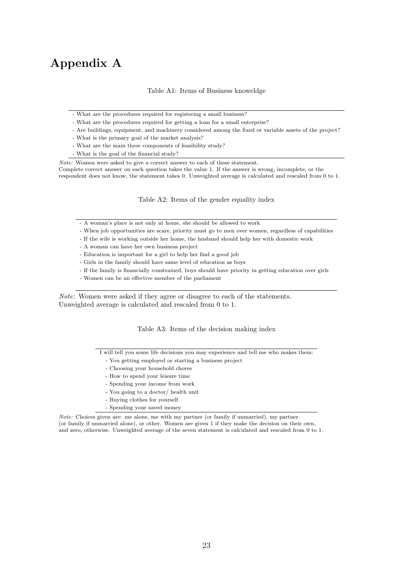## Appendix A

Table A1: Items of Business knoweldge

- What are the procedures required for registering a small business?
- What are the procedures required for getting a loan for a small enterprise?
- Are buildings, equipment, and machinery considered among the fixed or variable assets of the project?
- What is the primary goal of the market analysis?
- What are the main three components of feasibility study?
- What is the goal of the financial study?

Note: Women were asked to give a correct answer to each of these statement. Complete correct answer on each question takes the value 1. If the answer is wrong, incomplete, or the respondent does not know, the statement takes 0. Unweighted average is calculated and rescaled from 0 to 1.

Table A2: Items of the gender equality index

- A woman's place is not only at home, she should be allowed to work
- When job opportunities are scare, priority must go to men over women, regardless of capabilities
- If the wife is working outside her home, the husband should help her with domestic work
- A woman can have her own business project
- Education is important for a girl to help her find a good job
- Girls in the family should have same level of education as boys
- If the family is financially constrained, boys should have priority in getting education over girls
- Women can be an effective member of the parliament

Note: Women were asked if they agree or disagree to each of the statements. Unweighted average is calculated and rescaled from 0 to 1.

Table A3: Items of the decision making index

I will tell you some life decisions you may experience and tell me who makes them:

- You getting employed or starting a business project
- Choosing your household chores
- How to spend your leisure time
- Spending your income from work
- You going to a doctor/ health unit
- Buying clothes for yourself
- Spending your saved money

Note: Choices given are: me alone, me with my partner (or family if unmarried), my partner (or family if unmarried alone), or other. Women are given 1 if they make the decision on their own, and zero, otherwise. Unweighted average of the seven statement is calculated and rescaled from 0 to 1.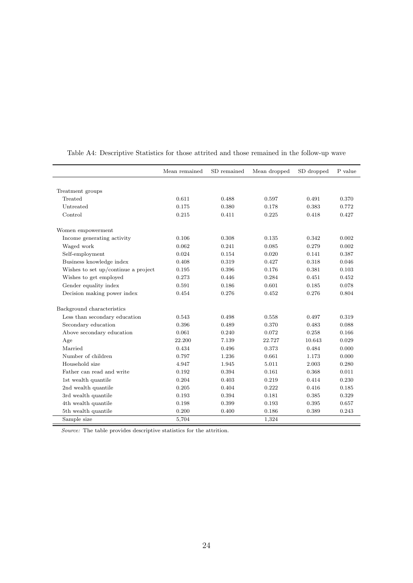|                                     | Mean remained | SD remained | Mean dropped | SD dropped | P value |
|-------------------------------------|---------------|-------------|--------------|------------|---------|
|                                     |               |             |              |            |         |
| Treatment groups                    |               |             |              |            |         |
| Treated                             | 0.611         | 0.488       | 0.597        | 0.491      | 0.370   |
| Untreated                           | 0.175         | 0.380       | 0.178        | 0.383      | 0.772   |
| Control                             | 0.215         | 0.411       | 0.225        | 0.418      | 0.427   |
| Women empowerment                   |               |             |              |            |         |
| Income generating activity          | 0.106         | 0.308       | 0.135        | 0.342      | 0.002   |
| Waged work                          | 0.062         | 0.241       | 0.085        | 0.279      | 0.002   |
| Self-employment                     | 0.024         | 0.154       | 0.020        | 0.141      | 0.387   |
| Business knowledge index            | 0.408         | 0.319       | 0.427        | 0.318      | 0.046   |
| Wishes to set up/continue a project | 0.195         | 0.396       | 0.176        | 0.381      | 0.103   |
| Wishes to get employed              | 0.273         | 0.446       | 0.284        | 0.451      | 0.452   |
| Gender equality index               | 0.591         | 0.186       | 0.601        | 0.185      | 0.078   |
| Decision making power index         | 0.454         | 0.276       | 0.452        | 0.276      | 0.804   |
| Background characteristics          |               |             |              |            |         |
| Less than secondary education       | 0.543         | 0.498       | 0.558        | 0.497      | 0.319   |
| Secondary education                 | 0.396         | 0.489       | 0.370        | 0.483      | 0.088   |
| Above secondary education           | 0.061         | 0.240       | 0.072        | 0.258      | 0.166   |
| Age                                 | 22.200        | 7.139       | 22.727       | 10.643     | 0.029   |
| Married                             | 0.434         | 0.496       | 0.373        | 0.484      | 0.000   |
| Number of children                  | 0.797         | 1.236       | 0.661        | 1.173      | 0.000   |
| Household size                      | 4.947         | 1.945       | 5.011        | 2.003      | 0.280   |
| Father can read and write           | 0.192         | 0.394       | 0.161        | 0.368      | 0.011   |
| 1st wealth quantile                 | 0.204         | 0.403       | 0.219        | 0.414      | 0.230   |
| 2nd wealth quantile                 | 0.205         | 0.404       | 0.222        | 0.416      | 0.185   |
| 3rd wealth quantile                 | 0.193         | 0.394       | 0.181        | 0.385      | 0.329   |
| 4th wealth quantile                 | 0.198         | 0.399       | 0.193        | 0.395      | 0.657   |
| 5th wealth quantile                 | 0.200         | 0.400       | 0.186        | 0.389      | 0.243   |
| Sample size                         | 5,704         |             | 1,324        |            |         |

Table A4: Descriptive Statistics for those attrited and those remained in the follow-up wave

Source: The table provides descriptive statistics for the attrition.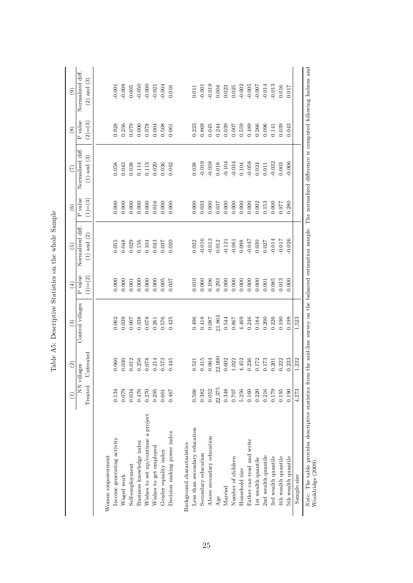|                                                                                                                                                                                             |               | $\widehat{c}$     | $\widehat{\mathbb{E}}$ | $\left( 4\right)$ | $\widetilde{5}$  | $\circledcirc$ | $(\overline{z})$ | $\circled{s}$   | $\widehat{e}$        |
|---------------------------------------------------------------------------------------------------------------------------------------------------------------------------------------------|---------------|-------------------|------------------------|-------------------|------------------|----------------|------------------|-----------------|----------------------|
|                                                                                                                                                                                             | 'i7<br>NN vil | lages             | Control villages       | P value           | Normalized diff. | P value        | Normalized diff  | ${\bf P}$ value | Normalized diff.     |
|                                                                                                                                                                                             | Treated       | <b>J</b> ntreated |                        | $(1) = (2)$       | $(1)$ and $(2)$  | $(1)=(3)$      | $(1)$ and $(3)$  | $(2)=(3)$       | $(2)$ and $(3)$      |
|                                                                                                                                                                                             |               |                   |                        |                   |                  |                |                  |                 |                      |
| Women empowerment                                                                                                                                                                           |               |                   |                        |                   |                  |                |                  |                 |                      |
| Income generating activity                                                                                                                                                                  | 0.134         | 0.060             | 0.062                  | 0.000             | 0.055            | 0.000          | 0.058            | 0.928           | $-0.001$             |
| Waged work                                                                                                                                                                                  | 0.079         | 0.030             | 0.039                  | 0.000             | 0.048            | 0.000          | 0.043            | 0.256           | $-0.008$             |
| Self-employment                                                                                                                                                                             | 0.034         | 0.012             | 0.007                  | 0.001             | 0.029            | 0.000          | 0.038            | 0.079           | $0.005\,$            |
| Business knowledge index                                                                                                                                                                    | 0.476         | 0.256             | 0.338                  | 0.000             | 0.156            | 0.000          | 0.114            | 0.000           |                      |
| Wishes to set up/continue a project                                                                                                                                                         | 0.270         | $0.078\,$         | $0.078\,$              | 0.000             | 0.104            | 0.000          | 0.113            | 0.978           | $-0.050$<br>$-0.000$ |
| Wishes to get employed                                                                                                                                                                      | 0.295         | 0.214             | 0.261                  | 0.000             | 0.043            | 0.016          | 0.020            | 0.004           | $-0.021$             |
| Gender equality index                                                                                                                                                                       | 0.601         | 0.573             | 0.576                  | $0.005\,$         | 0.037            | 0.000          | 0.036            | 0.508           | $-0.004$             |
| Decision making power index                                                                                                                                                                 | 0.467         | 0.445             | 0.425                  | 0.037             | 0.020            | 0.000          | 0.042            | 0.061           | 0.016                |
| Background charactaristics                                                                                                                                                                  |               |                   |                        |                   |                  |                |                  |                 |                      |
| Less than secondary education                                                                                                                                                               | 0.566         | 0.521             | 0.496                  | 0.010             | 0.022            | 0.000          | 0.038            | 0.223           | 0.011                |
| Secondary education                                                                                                                                                                         | 0.382         | 0.415             | 0.418                  | 0.060             | 0.016            | 0.033          | $-0.019$         | 0.869           | $-0.001$             |
| Above secondary education                                                                                                                                                                   | 0.052         | 0.064             | 0.087                  | 0.106             | 0.013            | 0.000          | $-0.038$         | 0.045           | $-0.019$             |
| Age                                                                                                                                                                                         | 22.375        | 22.000            | 21.863                 | 0.293             | 0.012            | 0.037          | $0.018\,$        | 0.244           | $0.004\,$            |
| Married                                                                                                                                                                                     | 0.348         | 0.602             | 0.544                  | 0.000             | $-0.121$         | 0.000          | $-0.104$         | 0.039           | 0.023                |
| Number of children                                                                                                                                                                          | 0.707         | 1.022             | 0.867                  | 0.000             | $-0.061$         | 0.000          | $-0.034$         | 0.007           | 0.025                |
| Household size                                                                                                                                                                              | 5.256         | 4.452             | 4.469                  | 0.000             | 0.098            | 0.000          | $0.104\,$        | 0.559           | $-0.002$             |
| Father can read and write                                                                                                                                                                   | 0.160         | 0.236             | 0.246                  | 0.000             | $-0.047$         | 0.000          | $-0.058$         | 0.489           | $-0.005$             |
| 1st wealth quantile                                                                                                                                                                         | 0.220         | 0.172             | 0.184                  | 0.000             | 0.030            | 0.002          | 0.024            | 0.266           | $-0.007$             |
| 2nd wealth quantile                                                                                                                                                                         | 0.216         | 0.173             | 0.200                  | 0.001             | 0.027            | 0.153          | 0.011            | 0.096           | $-0.014$             |
| 3rd wealth quantile                                                                                                                                                                         | 0.179         | 0.201             | 0.226                  | 0.085             | $-0.014$         | 0.000          | $-0.032$         | 0.141           | $-0.013$             |
| 4th wealth quantile                                                                                                                                                                         | 0.195         | 0.222             | 0.190                  | 0.013             | $-0.017$         | 0.977          | $0.003$          | 0.039           | 0.016                |
| 5th wealth quantile                                                                                                                                                                         | 0.190         | 0.233             | 0.199                  | 0.000             | $-0.026$         | 0.280          | $-0.006$         | 0.043           | 0.017                |
| Sample size                                                                                                                                                                                 | 4,273         | 1,232             | 1,523                  |                   |                  |                |                  |                 |                      |
| Note: The table provides descriptive statistics from the mid-line survey on the balanced estimation sample. The normalized difference is computed following Imbens and<br>Wooldridge (2009) |               |                   |                        |                   |                  |                |                  |                 |                      |

Table A5: Descriptive Statistics on the whole Sample Table A5: Descriptive Statistics on the whole Sample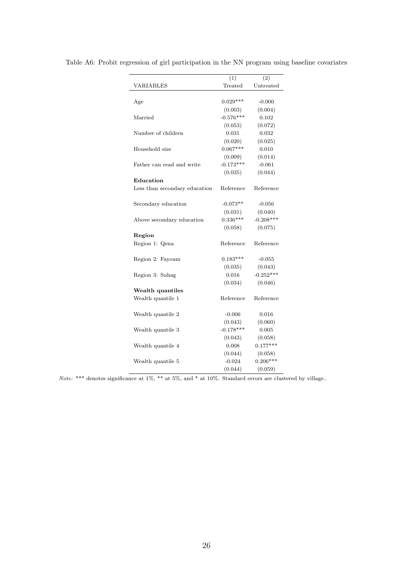|                               | (1)         | (2)         |
|-------------------------------|-------------|-------------|
| VARIABLES                     | Treated     | Untreated   |
|                               |             |             |
| Age                           | $0.029***$  | $-0.000$    |
|                               | (0.003)     | (0.004)     |
| Married                       | $-0.576***$ | 0.102       |
|                               | (0.053)     | (0.072)     |
| Number of children            | 0.031       | 0.032       |
|                               | (0.020)     | (0.025)     |
| Household size                | $0.067***$  | 0.010       |
|                               | (0.009)     | (0.014)     |
| Father can read and write     | $-0.173***$ | $-0.061$    |
|                               | (0.035)     | (0.044)     |
| Education                     |             |             |
| Less than secondary education | Reference   | Reference   |
|                               |             |             |
| Secondary education           | $-0.073**$  | $-0.056$    |
|                               | (0.031)     | (0.040)     |
| Above secondary education     | $0.336***$  | $-0.208***$ |
|                               | (0.058)     | (0.075)     |
| Region                        |             |             |
| Region 1: Qena                | Reference   | Reference   |
|                               |             |             |
| Region 2: Fayoum              | $0.183***$  | $-0.055$    |
|                               | (0.035)     | (0.043)     |
| Region 3: Suhag               | 0.016       | $-0.252***$ |
|                               | (0.034)     | (0.046)     |
| Wealth quantiles              |             |             |
| Wealth quantile 1             | Reference   | Reference   |
|                               |             |             |
| Wealth quantile 2             | $-0.006$    | 0.016       |
|                               | (0.043)     | (0.060)     |
| Wealth quantile 3             | $-0.178***$ | 0.005       |
|                               | (0.043)     | (0.058)     |
| Wealth quantile 4             | 0.008       | $0.177***$  |
|                               | (0.044)     | (0.058)     |
| Wealth quantile 5             | $-0.024$    | $0.206***$  |
|                               | (0.044)     | (0.059)     |

Table A6: Probit regression of girl participation in the NN program using baseline covariates

Note: \*\*\* denotes significance at 1%, \*\* at 5%, and \* at 10%. Standard errors are clustered by village..